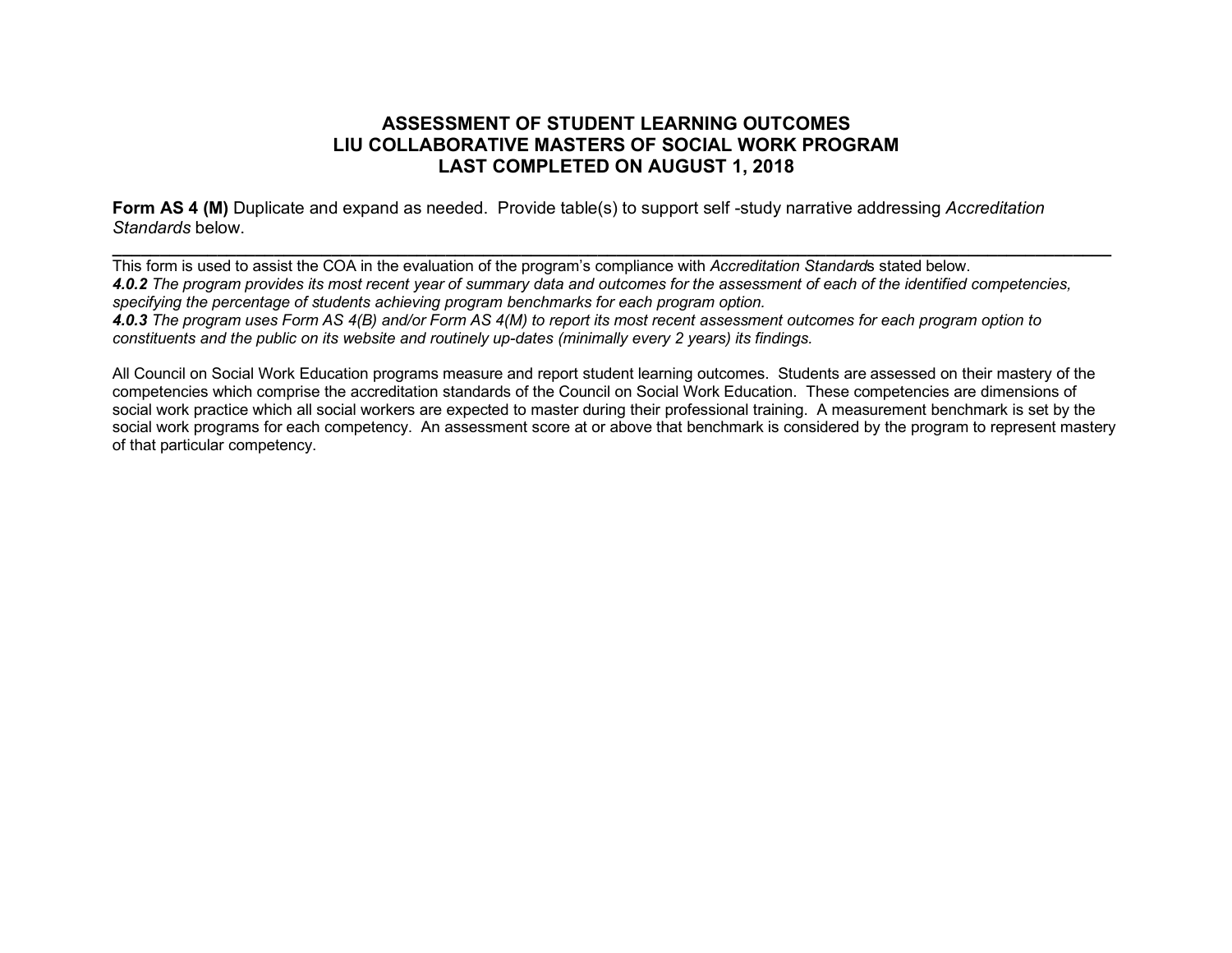## **ASSESSMENT OF STUDENT LEARNING OUTCOMES LIU COLLABORATIVE MASTERS OF SOCIAL WORK PROGRAM LAST COMPLETED ON AUGUST 1, 2018**

**Form AS 4 (M)** Duplicate and expand as needed. Provide table(s) to support self -study narrative addressing *Accreditation Standards* below.

**\_\_\_\_\_\_\_\_\_\_\_\_\_\_\_\_\_\_\_\_\_\_\_\_\_\_\_\_\_\_\_\_\_\_\_\_\_\_\_\_\_\_\_\_\_\_\_\_\_\_\_\_\_\_\_\_\_\_\_\_\_\_\_\_\_\_\_\_\_\_\_\_\_\_\_\_\_\_\_\_\_\_\_\_\_\_\_\_\_\_\_\_\_\_\_\_\_\_\_\_\_\_\_\_\_** This form is used to assist the COA in the evaluation of the program's compliance with *Accreditation Standard*s stated below. *4.0.2 The program provides its most recent year of summary data and outcomes for the assessment of each of the identified competencies, specifying the percentage of students achieving program benchmarks for each program option. 4.0.3 The program uses Form AS 4(B) and/or Form AS 4(M) to report its most recent assessment outcomes for each program option to* 

*constituents and the public on its website and routinely up-dates (minimally every 2 years) its findings.*

All Council on Social Work Education programs measure and report student learning outcomes. Students are assessed on their mastery of the competencies which comprise the accreditation standards of the Council on Social Work Education. These competencies are dimensions of social work practice which all social workers are expected to master during their professional training. A measurement benchmark is set by the social work programs for each competency. An assessment score at or above that benchmark is considered by the program to represent mastery of that particular competency.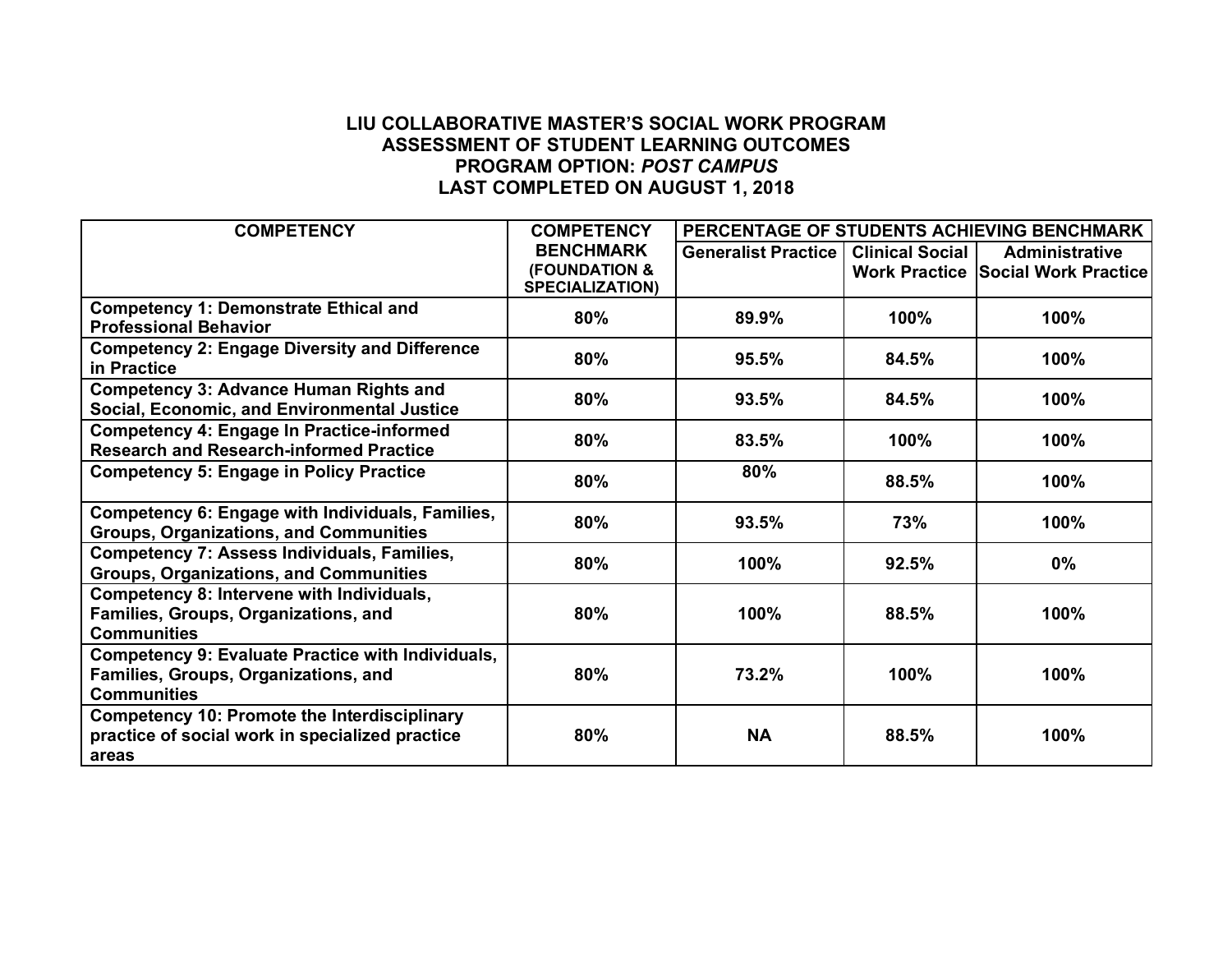## **LIU COLLABORATIVE MASTER'S SOCIAL WORK PROGRAM ASSESSMENT OF STUDENT LEARNING OUTCOMES PROGRAM OPTION:** *POST CAMPUS* **LAST COMPLETED ON AUGUST 1, 2018**

| <b>COMPETENCY</b>                                        | <b>COMPETENCY</b>                                  | PERCENTAGE OF STUDENTS ACHIEVING BENCHMARK |                        |                                           |
|----------------------------------------------------------|----------------------------------------------------|--------------------------------------------|------------------------|-------------------------------------------|
|                                                          | <b>BENCHMARK</b>                                   | <b>Generalist Practice</b>                 | <b>Clinical Social</b> | <b>Administrative</b>                     |
|                                                          | <b>(FOUNDATION &amp;</b><br><b>SPECIALIZATION)</b> |                                            |                        | <b>Work Practice Social Work Practice</b> |
| <b>Competency 1: Demonstrate Ethical and</b>             | 80%                                                | 89.9%                                      | 100%                   | 100%                                      |
| <b>Professional Behavior</b>                             |                                                    |                                            |                        |                                           |
| <b>Competency 2: Engage Diversity and Difference</b>     | 80%                                                | 95.5%                                      | 84.5%                  | 100%                                      |
| in Practice                                              |                                                    |                                            |                        |                                           |
| <b>Competency 3: Advance Human Rights and</b>            | 80%                                                | 93.5%                                      | 84.5%                  | 100%                                      |
| Social, Economic, and Environmental Justice              |                                                    |                                            |                        |                                           |
| <b>Competency 4: Engage In Practice-informed</b>         | 80%                                                | 83.5%                                      | 100%                   | 100%                                      |
| <b>Research and Research-informed Practice</b>           |                                                    |                                            |                        |                                           |
| <b>Competency 5: Engage in Policy Practice</b>           | 80%                                                | 80%                                        | 88.5%                  | 100%                                      |
| Competency 6: Engage with Individuals, Families,         | 80%                                                | 93.5%                                      | 73%                    | 100%                                      |
| <b>Groups, Organizations, and Communities</b>            |                                                    |                                            |                        |                                           |
| <b>Competency 7: Assess Individuals, Families,</b>       | 80%                                                | 100%                                       | 92.5%                  | $0\%$                                     |
| <b>Groups, Organizations, and Communities</b>            |                                                    |                                            |                        |                                           |
| Competency 8: Intervene with Individuals,                |                                                    |                                            |                        |                                           |
| Families, Groups, Organizations, and                     | 80%                                                | 100%                                       | 88.5%                  | 100%                                      |
| <b>Communities</b>                                       |                                                    |                                            |                        |                                           |
| <b>Competency 9: Evaluate Practice with Individuals,</b> |                                                    |                                            |                        |                                           |
| Families, Groups, Organizations, and                     | 80%                                                | 73.2%                                      | 100%                   | 100%                                      |
| <b>Communities</b>                                       |                                                    |                                            |                        |                                           |
| <b>Competency 10: Promote the Interdisciplinary</b>      |                                                    |                                            |                        |                                           |
| practice of social work in specialized practice          | 80%                                                | <b>NA</b>                                  | 88.5%                  | 100%                                      |
| areas                                                    |                                                    |                                            |                        |                                           |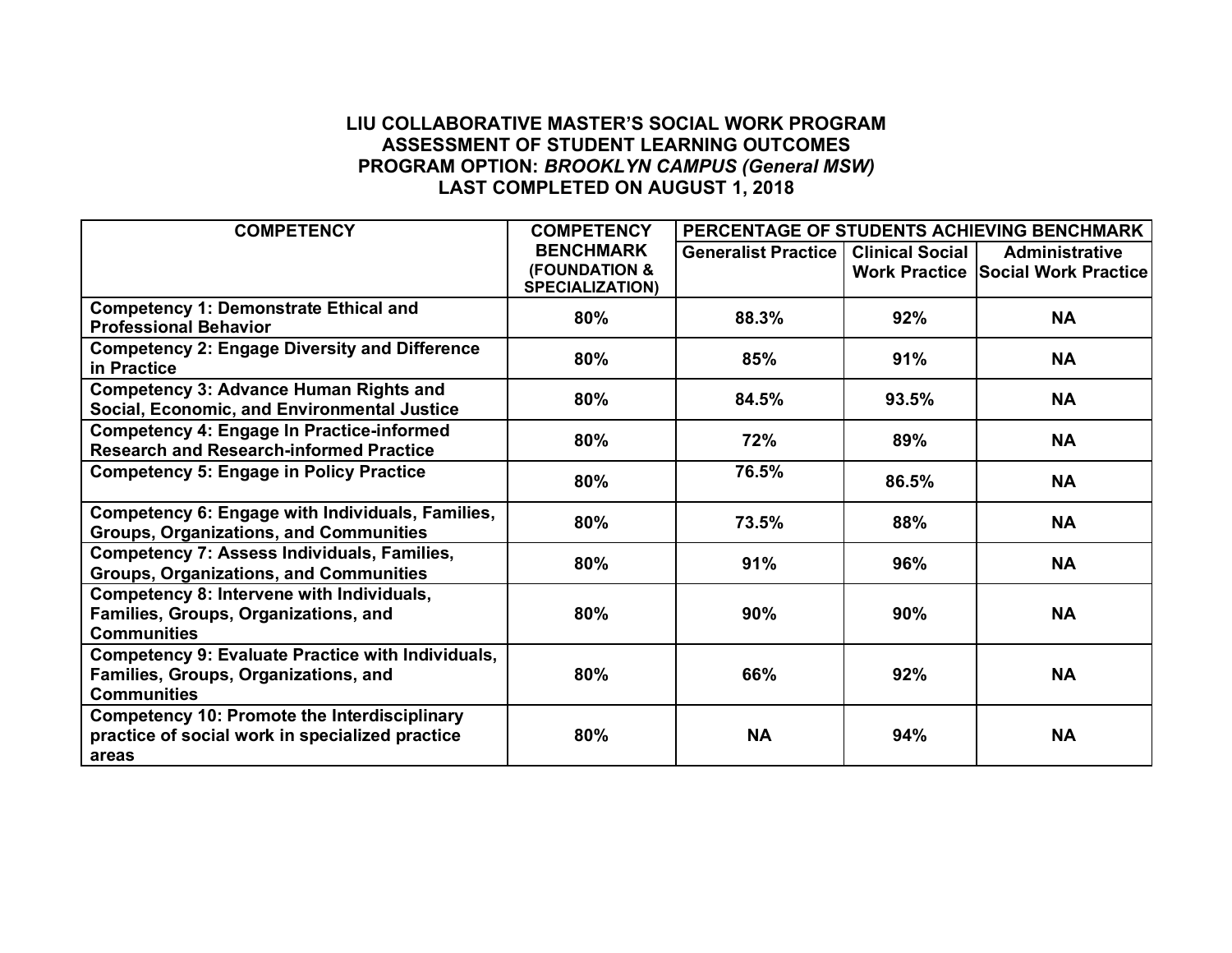## **LIU COLLABORATIVE MASTER'S SOCIAL WORK PROGRAM ASSESSMENT OF STUDENT LEARNING OUTCOMES PROGRAM OPTION:** *BROOKLYN CAMPUS (General MSW)* **LAST COMPLETED ON AUGUST 1, 2018**

| <b>COMPETENCY</b>                                        | <b>COMPETENCY</b>                                  | PERCENTAGE OF STUDENTS ACHIEVING BENCHMARK |                        |                                           |
|----------------------------------------------------------|----------------------------------------------------|--------------------------------------------|------------------------|-------------------------------------------|
|                                                          | <b>BENCHMARK</b>                                   | <b>Generalist Practice</b>                 | <b>Clinical Social</b> | <b>Administrative</b>                     |
|                                                          | <b>(FOUNDATION &amp;</b><br><b>SPECIALIZATION)</b> |                                            |                        | <b>Work Practice Social Work Practice</b> |
| <b>Competency 1: Demonstrate Ethical and</b>             |                                                    |                                            |                        |                                           |
| <b>Professional Behavior</b>                             | 80%                                                | 88.3%                                      | 92%                    | <b>NA</b>                                 |
| <b>Competency 2: Engage Diversity and Difference</b>     | 80%                                                | 85%                                        | 91%                    | <b>NA</b>                                 |
| in Practice                                              |                                                    |                                            |                        |                                           |
| <b>Competency 3: Advance Human Rights and</b>            | 80%                                                | 84.5%                                      | 93.5%                  | <b>NA</b>                                 |
| Social, Economic, and Environmental Justice              |                                                    |                                            |                        |                                           |
| <b>Competency 4: Engage In Practice-informed</b>         | 80%                                                | 72%                                        | 89%                    | <b>NA</b>                                 |
| <b>Research and Research-informed Practice</b>           |                                                    |                                            |                        |                                           |
| <b>Competency 5: Engage in Policy Practice</b>           | 80%                                                | 76.5%                                      | 86.5%                  | <b>NA</b>                                 |
| Competency 6: Engage with Individuals, Families,         | 80%                                                | 73.5%                                      | 88%                    | <b>NA</b>                                 |
| <b>Groups, Organizations, and Communities</b>            |                                                    |                                            |                        |                                           |
| <b>Competency 7: Assess Individuals, Families,</b>       | 80%                                                | 91%                                        | 96%                    | <b>NA</b>                                 |
| <b>Groups, Organizations, and Communities</b>            |                                                    |                                            |                        |                                           |
| Competency 8: Intervene with Individuals,                |                                                    |                                            |                        |                                           |
| Families, Groups, Organizations, and                     | 80%                                                | 90%                                        | 90%                    | <b>NA</b>                                 |
| <b>Communities</b>                                       |                                                    |                                            |                        |                                           |
| <b>Competency 9: Evaluate Practice with Individuals,</b> |                                                    |                                            |                        |                                           |
| Families, Groups, Organizations, and                     | 80%                                                | 66%                                        | 92%                    | <b>NA</b>                                 |
| <b>Communities</b>                                       |                                                    |                                            |                        |                                           |
| <b>Competency 10: Promote the Interdisciplinary</b>      |                                                    |                                            |                        |                                           |
| practice of social work in specialized practice          | 80%                                                | <b>NA</b>                                  | 94%                    | <b>NA</b>                                 |
| areas                                                    |                                                    |                                            |                        |                                           |